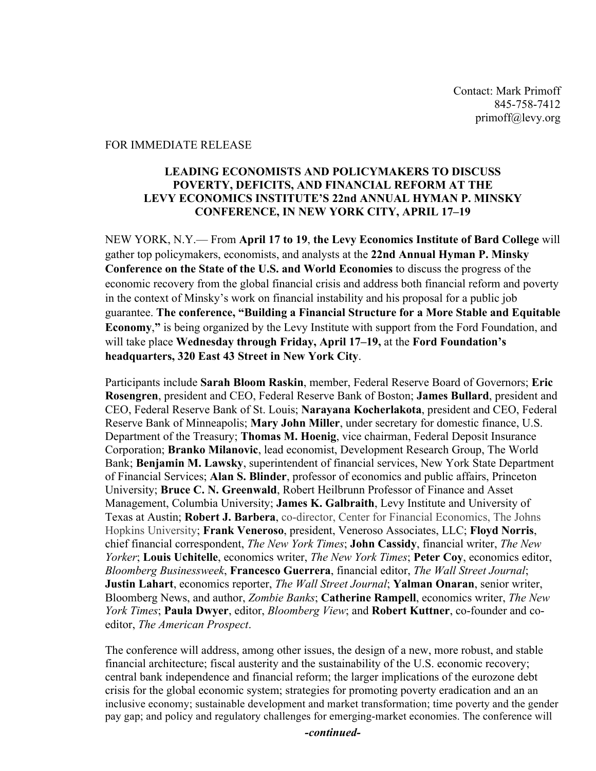Contact: Mark Primoff 845-758-7412 primoff@levy.org

### FOR IMMEDIATE RELEASE

## **LEADING ECONOMISTS AND POLICYMAKERS TO DISCUSS POVERTY, DEFICITS, AND FINANCIAL REFORM AT THE LEVY ECONOMICS INSTITUTE'S 22nd ANNUAL HYMAN P. MINSKY CONFERENCE, IN NEW YORK CITY, APRIL 17–19**

NEW YORK, N.Y.— From **April 17 to 19**, **the Levy Economics Institute of Bard College** will gather top policymakers, economists, and analysts at the **22nd Annual Hyman P. Minsky Conference on the State of the U.S. and World Economies** to discuss the progress of the economic recovery from the global financial crisis and address both financial reform and poverty in the context of Minsky's work on financial instability and his proposal for a public job guarantee. **The conference, "Building a Financial Structure for a More Stable and Equitable Economy**,**"** is being organized by the Levy Institute with support from the Ford Foundation, and will take place **Wednesday through Friday, April 17–19,** at the **Ford Foundation's headquarters, 320 East 43 Street in New York City**.

Participants include **Sarah Bloom Raskin**, member, Federal Reserve Board of Governors; **Eric Rosengren**, president and CEO, Federal Reserve Bank of Boston; **James Bullard**, president and CEO, Federal Reserve Bank of St. Louis; **Narayana Kocherlakota**, president and CEO, Federal Reserve Bank of Minneapolis; **Mary John Miller**, under secretary for domestic finance, U.S. Department of the Treasury; **Thomas M. Hoenig**, vice chairman, Federal Deposit Insurance Corporation; **Branko Milanovic**, lead economist, Development Research Group, The World Bank; **Benjamin M. Lawsky**, superintendent of financial services, New York State Department of Financial Services; **Alan S. Blinder**, professor of economics and public affairs, Princeton University; **Bruce C. N. Greenwald**, Robert Heilbrunn Professor of Finance and Asset Management, Columbia University; **James K. Galbraith**, Levy Institute and University of Texas at Austin; **Robert J. Barbera**, co-director, Center for Financial Economics, The Johns Hopkins University; **Frank Veneroso**, president, Veneroso Associates, LLC; **Floyd Norris**, chief financial correspondent, *The New York Times*; **John Cassidy**, financial writer, *The New Yorker*; **Louis Uchitelle**, economics writer, *The New York Times*; **Peter Coy**, economics editor, *Bloomberg Businessweek*, **Francesco Guerrera**, financial editor, *The Wall Street Journal*; **Justin Lahart**, economics reporter, *The Wall Street Journal*; **Yalman Onaran**, senior writer, Bloomberg News, and author, *Zombie Banks*; **Catherine Rampell**, economics writer, *The New York Times*; **Paula Dwyer**, editor, *Bloomberg View*; and **Robert Kuttner**, co-founder and coeditor, *The American Prospect*.

The conference will address, among other issues, the design of a new, more robust, and stable financial architecture; fiscal austerity and the sustainability of the U.S. economic recovery; central bank independence and financial reform; the larger implications of the eurozone debt crisis for the global economic system; strategies for promoting poverty eradication and an an inclusive economy; sustainable development and market transformation; time poverty and the gender pay gap; and policy and regulatory challenges for emerging-market economies. The conference will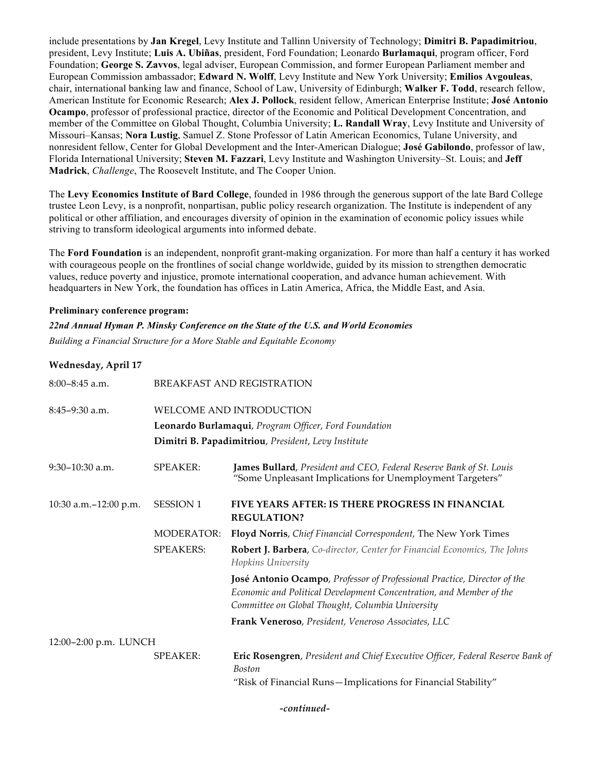include presentations by **Jan Kregel**, Levy Institute and Tallinn University of Technology; **Dimitri B. Papadimitriou**, president, Levy Institute; **Luis A. Ubiñas**, president, Ford Foundation; Leonardo **Burlamaqui**, program officer, Ford Foundation; **George S. Zavvos**, legal adviser, European Commission, and former European Parliament member and European Commission ambassador; **Edward N. Wolff**, Levy Institute and New York University; **Emilios Avgouleas**, chair, international banking law and finance, School of Law, University of Edinburgh; **Walker F. Todd**, research fellow, American Institute for Economic Research; **Alex J. Pollock**, resident fellow, American Enterprise Institute; **José Antonio Ocampo**, professor of professional practice, director of the Economic and Political Development Concentration, and member of the Committee on Global Thought, Columbia University; **L. Randall Wray**, Levy Institute and University of Missouri–Kansas; **Nora Lustig**, Samuel Z. Stone Professor of Latin American Economics, Tulane University, and nonresident fellow, Center for Global Development and the Inter-American Dialogue; **José Gabilondo**, professor of law, Florida International University; **Steven M. Fazzari**, Levy Institute and Washington University–St. Louis; and **Jeff Madrick**, *Challenge*, The Roosevelt Institute, and The Cooper Union.

The **Levy Economics Institute of Bard College**, founded in 1986 through the generous support of the late Bard College trustee Leon Levy, is a nonprofit, nonpartisan, public policy research organization. The Institute is independent of any political or other affiliation, and encourages diversity of opinion in the examination of economic policy issues while striving to transform ideological arguments into informed debate.

The **Ford Foundation** is an independent, nonprofit grant-making organization. For more than half a century it has worked with courageous people on the frontlines of social change worldwide, guided by its mission to strengthen democratic values, reduce poverty and injustice, promote international cooperation, and advance human achievement. With headquarters in New York, the foundation has offices in Latin America, Africa, the Middle East, and Asia.

#### **Preliminary conference program:**

*22nd Annual Hyman P. Minsky Conference on the State of the U.S. and World Economies* 

*Building a Financial Structure for a More Stable and Equitable Economy*

#### **Wednesday, April 17**

| $8:00-8:45$ a.m.        |                                                       | BREAKFAST AND REGISTRATION                                                                                                                                                                          |  |
|-------------------------|-------------------------------------------------------|-----------------------------------------------------------------------------------------------------------------------------------------------------------------------------------------------------|--|
| $8:45-9:30$ a.m.        | WELCOME AND INTRODUCTION                              |                                                                                                                                                                                                     |  |
|                         | Leonardo Burlamaqui, Program Officer, Ford Foundation |                                                                                                                                                                                                     |  |
|                         |                                                       | Dimitri B. Papadimitriou, President, Levy Institute                                                                                                                                                 |  |
| $9:30-10:30$ a.m.       | <b>SPEAKER:</b>                                       | James Bullard, President and CEO, Federal Reserve Bank of St. Louis<br>"Some Unpleasant Implications for Unemployment Targeters"                                                                    |  |
| 10:30 a.m. - 12:00 p.m. | <b>SESSION 1</b>                                      | FIVE YEARS AFTER: IS THERE PROGRESS IN FINANCIAL<br><b>REGULATION?</b>                                                                                                                              |  |
|                         | <b>MODERATOR:</b>                                     | Floyd Norris, Chief Financial Correspondent, The New York Times                                                                                                                                     |  |
|                         | <b>SPEAKERS:</b>                                      | Robert J. Barbera, Co-director, Center for Financial Economics, The Johns<br>Hopkins University                                                                                                     |  |
|                         |                                                       | José Antonio Ocampo, Professor of Professional Practice, Director of the<br>Economic and Political Development Concentration, and Member of the<br>Committee on Global Thought, Columbia University |  |
|                         |                                                       | Frank Veneroso, President, Veneroso Associates, LLC                                                                                                                                                 |  |
| 12:00-2:00 p.m. LUNCH   |                                                       |                                                                                                                                                                                                     |  |
|                         | <b>SPEAKER:</b>                                       | Eric Rosengren, President and Chief Executive Officer, Federal Reserve Bank of<br><b>Boston</b>                                                                                                     |  |
|                         |                                                       | "Risk of Financial Runs-Implications for Financial Stability"                                                                                                                                       |  |

*-continued-*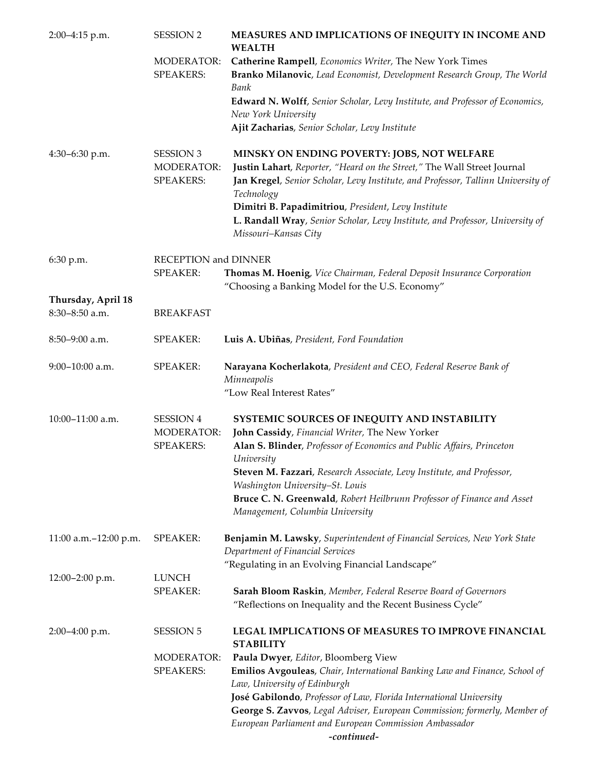| 2:00-4:15 p.m.                       | <b>SESSION 2</b>                                          | MEASURES AND IMPLICATIONS OF INEQUITY IN INCOME AND<br><b>WEALTH</b>                                                                                                                                                                                                                                                                                                                     |  |
|--------------------------------------|-----------------------------------------------------------|------------------------------------------------------------------------------------------------------------------------------------------------------------------------------------------------------------------------------------------------------------------------------------------------------------------------------------------------------------------------------------------|--|
|                                      | <b>MODERATOR:</b>                                         | Catherine Rampell, Economics Writer, The New York Times                                                                                                                                                                                                                                                                                                                                  |  |
|                                      | <b>SPEAKERS:</b>                                          | Branko Milanovic, Lead Economist, Development Research Group, The World<br>Bank                                                                                                                                                                                                                                                                                                          |  |
|                                      |                                                           | Edward N. Wolff, Senior Scholar, Levy Institute, and Professor of Economics,<br>New York University                                                                                                                                                                                                                                                                                      |  |
|                                      |                                                           | Ajit Zacharias, Senior Scholar, Levy Institute                                                                                                                                                                                                                                                                                                                                           |  |
| 4:30-6:30 p.m.                       | <b>SESSION 3</b><br><b>MODERATOR:</b><br><b>SPEAKERS:</b> | MINSKY ON ENDING POVERTY: JOBS, NOT WELFARE<br>Justin Lahart, Reporter, "Heard on the Street," The Wall Street Journal<br>Jan Kregel, Senior Scholar, Levy Institute, and Professor, Tallinn University of<br>Technology<br>Dimitri B. Papadimitriou, President, Levy Institute<br>L. Randall Wray, Senior Scholar, Levy Institute, and Professor, University of<br>Missouri-Kansas City |  |
| 6:30 p.m.                            | RECEPTION and DINNER                                      |                                                                                                                                                                                                                                                                                                                                                                                          |  |
|                                      | <b>SPEAKER:</b>                                           | Thomas M. Hoenig, Vice Chairman, Federal Deposit Insurance Corporation<br>"Choosing a Banking Model for the U.S. Economy"                                                                                                                                                                                                                                                                |  |
| Thursday, April 18<br>8:30-8:50 a.m. | <b>BREAKFAST</b>                                          |                                                                                                                                                                                                                                                                                                                                                                                          |  |
| $8:50 - 9:00$ a.m.                   | <b>SPEAKER:</b>                                           | Luis A. Ubiñas, President, Ford Foundation                                                                                                                                                                                                                                                                                                                                               |  |
| 9:00-10:00 a.m.                      | <b>SPEAKER:</b>                                           | Narayana Kocherlakota, President and CEO, Federal Reserve Bank of<br>Minneapolis<br>"Low Real Interest Rates"                                                                                                                                                                                                                                                                            |  |
| 10:00-11:00 a.m.                     | <b>SESSION 4</b><br><b>MODERATOR:</b>                     | SYSTEMIC SOURCES OF INEQUITY AND INSTABILITY<br>John Cassidy, Financial Writer, The New Yorker                                                                                                                                                                                                                                                                                           |  |
|                                      | <b>SPEAKERS:</b>                                          | Alan S. Blinder, Professor of Economics and Public Affairs, Princeton<br>University                                                                                                                                                                                                                                                                                                      |  |
|                                      |                                                           | Steven M. Fazzari, Research Associate, Levy Institute, and Professor,<br>Washington University-St. Louis                                                                                                                                                                                                                                                                                 |  |
|                                      |                                                           | Bruce C. N. Greenwald, Robert Heilbrunn Professor of Finance and Asset<br>Management, Columbia University                                                                                                                                                                                                                                                                                |  |
| 11:00 a.m.-12:00 p.m.                | <b>SPEAKER:</b>                                           | Benjamin M. Lawsky, Superintendent of Financial Services, New York State<br>Department of Financial Services                                                                                                                                                                                                                                                                             |  |
|                                      | <b>LUNCH</b>                                              | "Regulating in an Evolving Financial Landscape"                                                                                                                                                                                                                                                                                                                                          |  |
| 12:00-2:00 p.m.                      | <b>SPEAKER:</b>                                           | Sarah Bloom Raskin, Member, Federal Reserve Board of Governors                                                                                                                                                                                                                                                                                                                           |  |
|                                      |                                                           | "Reflections on Inequality and the Recent Business Cycle"                                                                                                                                                                                                                                                                                                                                |  |
| 2:00-4:00 p.m.                       | <b>SESSION 5</b>                                          | LEGAL IMPLICATIONS OF MEASURES TO IMPROVE FINANCIAL<br><b>STABILITY</b>                                                                                                                                                                                                                                                                                                                  |  |
|                                      | <b>MODERATOR:</b>                                         | Paula Dwyer, Editor, Bloomberg View                                                                                                                                                                                                                                                                                                                                                      |  |
|                                      | <b>SPEAKERS:</b>                                          | Emilios Avgouleas, Chair, International Banking Law and Finance, School of<br>Law, University of Edinburgh                                                                                                                                                                                                                                                                               |  |
|                                      |                                                           | José Gabilondo, Professor of Law, Florida International University                                                                                                                                                                                                                                                                                                                       |  |
|                                      |                                                           | George S. Zavvos, Legal Adviser, European Commission; formerly, Member of<br>European Parliament and European Commission Ambassador<br>-continued-                                                                                                                                                                                                                                       |  |